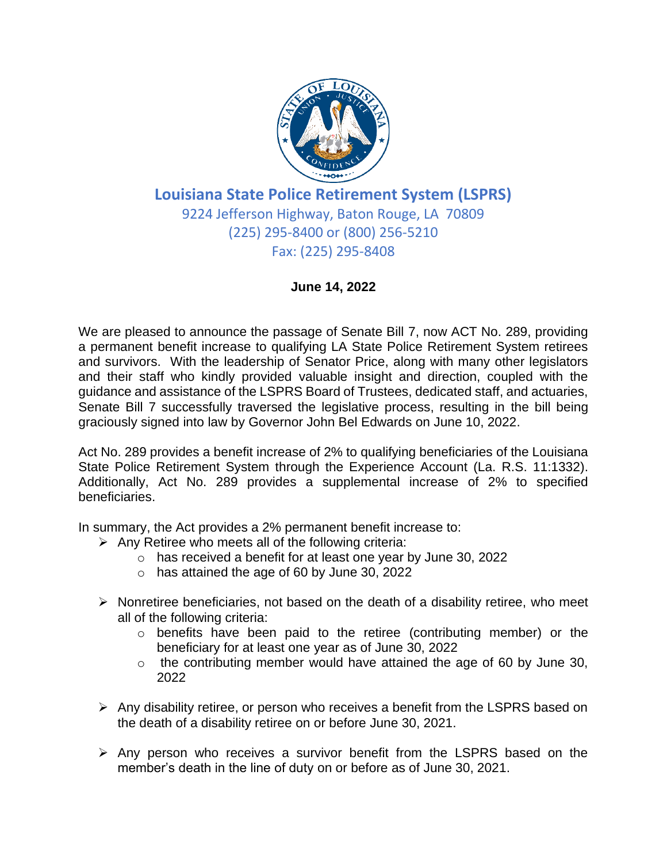

## **Louisiana State Police Retirement System (LSPRS)** 9224 Jefferson Highway, Baton Rouge, LA 70809 (225) 295-8400 or (800) 256-5210 Fax: (225) 295-8408

## **June 14, 2022**

We are pleased to announce the passage of Senate Bill 7, now ACT No. 289, providing a permanent benefit increase to qualifying LA State Police Retirement System retirees and survivors. With the leadership of Senator Price, along with many other legislators and their staff who kindly provided valuable insight and direction, coupled with the guidance and assistance of the LSPRS Board of Trustees, dedicated staff, and actuaries, Senate Bill 7 successfully traversed the legislative process, resulting in the bill being graciously signed into law by Governor John Bel Edwards on June 10, 2022.

Act No. 289 provides a benefit increase of 2% to qualifying beneficiaries of the Louisiana State Police Retirement System through the Experience Account (La. R.S. 11:1332). Additionally, Act No. 289 provides a supplemental increase of 2% to specified beneficiaries.

In summary, the Act provides a 2% permanent benefit increase to:

- $\triangleright$  Any Retiree who meets all of the following criteria:
	- o has received a benefit for at least one year by June 30, 2022
	- o has attained the age of 60 by June 30, 2022
- $\triangleright$  Nonretiree beneficiaries, not based on the death of a disability retiree, who meet all of the following criteria:
	- o benefits have been paid to the retiree (contributing member) or the beneficiary for at least one year as of June 30, 2022
	- o the contributing member would have attained the age of 60 by June 30, 2022
- $\triangleright$  Any disability retiree, or person who receives a benefit from the LSPRS based on the death of a disability retiree on or before June 30, 2021.
- ➢ Any person who receives a survivor benefit from the LSPRS based on the member's death in the line of duty on or before as of June 30, 2021.